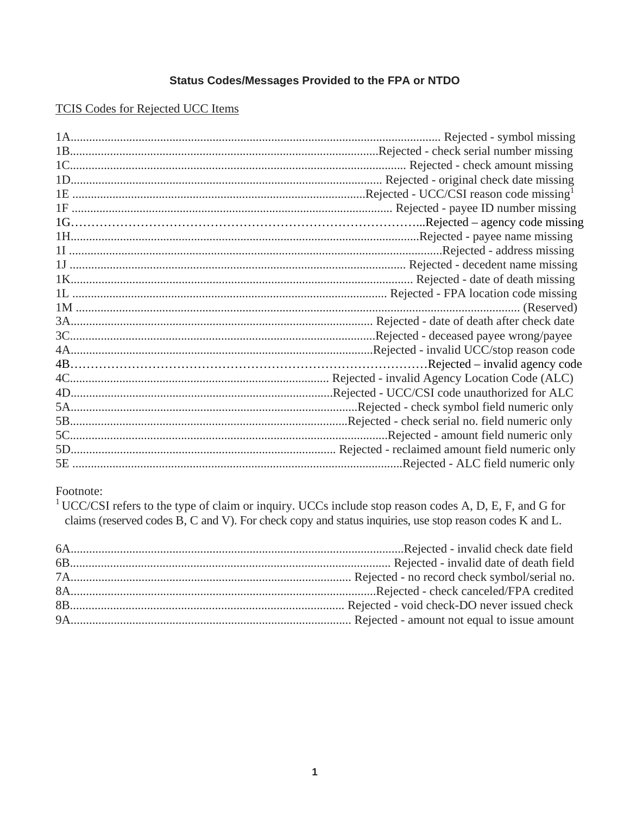# Status Codes/Messages Provided to the FPA or NTDO

**TCIS Codes for Rejected UCC Items** 

| Rejected - symbol missing                    |
|----------------------------------------------|
|                                              |
|                                              |
|                                              |
|                                              |
|                                              |
|                                              |
|                                              |
| Rejected - address missing                   |
|                                              |
|                                              |
|                                              |
|                                              |
|                                              |
|                                              |
|                                              |
| .Rejected – invalid agency code              |
|                                              |
| Rejected - UCC/CSI code unauthorized for ALC |
| Rejected - check symbol field numeric only   |
|                                              |
| .Rejected - amount field numeric only        |
|                                              |
| .Rejected - ALC field numeric only           |

Footnote:

<sup>1</sup> UCC/CSI refers to the type of claim or inquiry. UCCs include stop reason codes A, D, E, F, and G for claims (reserved codes B, C and V). For check copy and status inquiries, use stop reason codes K and L.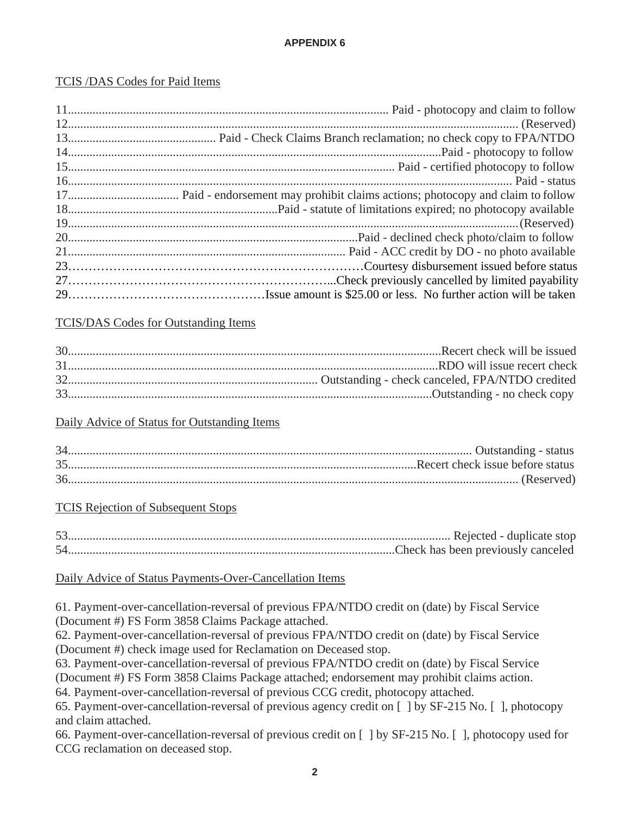#### **APPENDIX 6**

## TCIS /DAS Codes for Paid Items

| 14. The Paid - photocopy to follow |
|------------------------------------|
|                                    |
|                                    |
|                                    |
|                                    |
|                                    |
|                                    |
|                                    |
|                                    |
|                                    |
|                                    |

#### TCIS/DAS Codes for Outstanding Items

## Daily Advice of Status for Outstanding Items

## TCIS Rejection of Subsequent Stops

| 52 |  |
|----|--|
|    |  |

#### Daily Advice of Status Payments-Over-Cancellation Items

61. Payment-over-cancellation-reversal of previous FPA/NTDO credit on (date) by Fiscal Service (Document #) FS Form 3858 Claims Package attached.

62. Payment-over-cancellation-reversal of previous FPA/NTDO credit on (date) by Fiscal Service (Document #) check image used for Reclamation on Deceased stop.

63. Payment-over-cancellation-reversal of previous FPA/NTDO credit on (date) by Fiscal Service

(Document #) FS Form 3858 Claims Package attached; endorsement may prohibit claims action.

64. Payment-over-cancellation-reversal of previous CCG credit, photocopy attached.

65. Payment-over-cancellation-reversal of previous agency credit on [ ] by SF-215 No. [ ], photocopy and claim attached.

66. Payment-over-cancellation-reversal of previous credit on [ ] by SF-215 No. [ ], photocopy used for CCG reclamation on deceased stop.